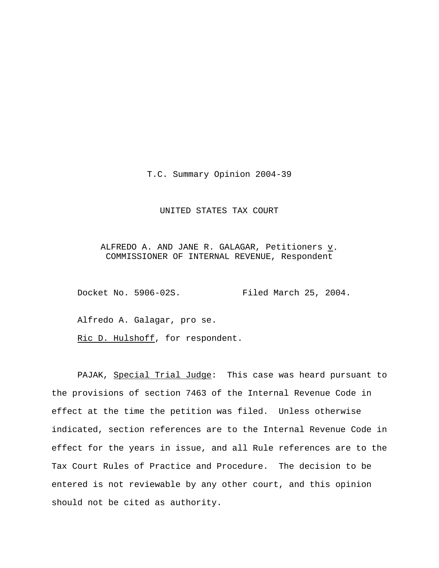T.C. Summary Opinion 2004-39

## UNITED STATES TAX COURT

ALFREDO A. AND JANE R. GALAGAR, Petitioners  $\underline{v}$ . COMMISSIONER OF INTERNAL REVENUE, Respondent

Docket No. 5906-02S. Filed March 25, 2004.

Alfredo A. Galagar, pro se.

Ric D. Hulshoff, for respondent.

PAJAK, Special Trial Judge: This case was heard pursuant to the provisions of section 7463 of the Internal Revenue Code in effect at the time the petition was filed. Unless otherwise indicated, section references are to the Internal Revenue Code in effect for the years in issue, and all Rule references are to the Tax Court Rules of Practice and Procedure. The decision to be entered is not reviewable by any other court, and this opinion should not be cited as authority.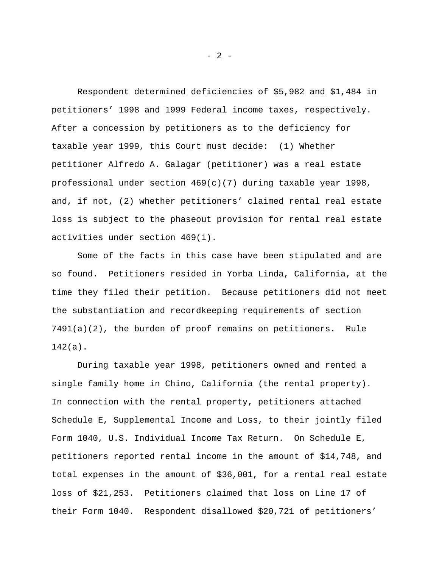Respondent determined deficiencies of \$5,982 and \$1,484 in petitioners' 1998 and 1999 Federal income taxes, respectively. After a concession by petitioners as to the deficiency for taxable year 1999, this Court must decide: (1) Whether petitioner Alfredo A. Galagar (petitioner) was a real estate professional under section  $469(c)(7)$  during taxable year 1998, and, if not, (2) whether petitioners' claimed rental real estate loss is subject to the phaseout provision for rental real estate activities under section 469(i).

Some of the facts in this case have been stipulated and are so found. Petitioners resided in Yorba Linda, California, at the time they filed their petition. Because petitioners did not meet the substantiation and recordkeeping requirements of section 7491(a)(2), the burden of proof remains on petitioners. Rule 142(a).

During taxable year 1998, petitioners owned and rented a single family home in Chino, California (the rental property). In connection with the rental property, petitioners attached Schedule E, Supplemental Income and Loss, to their jointly filed Form 1040, U.S. Individual Income Tax Return. On Schedule E, petitioners reported rental income in the amount of \$14,748, and total expenses in the amount of \$36,001, for a rental real estate loss of \$21,253. Petitioners claimed that loss on Line 17 of their Form 1040. Respondent disallowed \$20,721 of petitioners'

- 2 -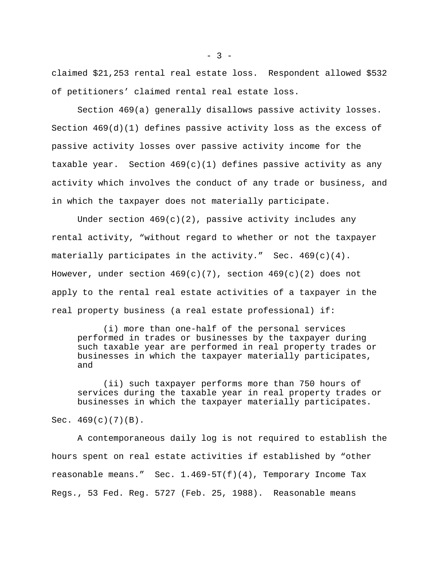claimed \$21,253 rental real estate loss. Respondent allowed \$532 of petitioners' claimed rental real estate loss.

Section 469(a) generally disallows passive activity losses. Section  $469(d)(1)$  defines passive activity loss as the excess of passive activity losses over passive activity income for the taxable year. Section  $469(c)(1)$  defines passive activity as any activity which involves the conduct of any trade or business, and in which the taxpayer does not materially participate.

Under section  $469(c)(2)$ , passive activity includes any rental activity, "without regard to whether or not the taxpayer materially participates in the activity." Sec. 469(c)(4). However, under section  $469(c)(7)$ , section  $469(c)(2)$  does not apply to the rental real estate activities of a taxpayer in the real property business (a real estate professional) if:

(i) more than one-half of the personal services performed in trades or businesses by the taxpayer during such taxable year are performed in real property trades or businesses in which the taxpayer materially participates, and

(ii) such taxpayer performs more than 750 hours of services during the taxable year in real property trades or businesses in which the taxpayer materially participates.

Sec.  $469(c)(7)(B)$ .

A contemporaneous daily log is not required to establish the hours spent on real estate activities if established by "other reasonable means." Sec.  $1.469-5T(f)(4)$ , Temporary Income Tax Regs., 53 Fed. Reg. 5727 (Feb. 25, 1988). Reasonable means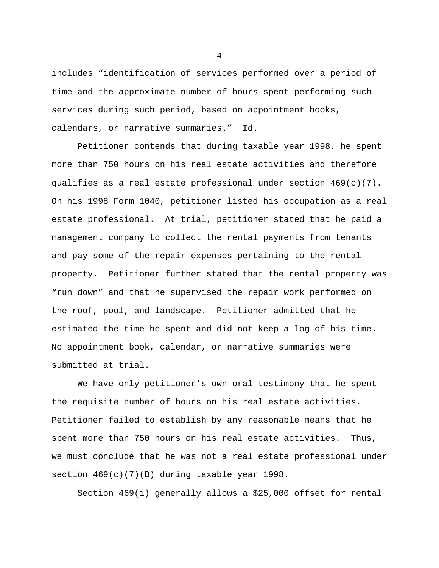includes "identification of services performed over a period of time and the approximate number of hours spent performing such services during such period, based on appointment books, calendars, or narrative summaries." Id.

Petitioner contends that during taxable year 1998, he spent more than 750 hours on his real estate activities and therefore qualifies as a real estate professional under section 469(c)(7). On his 1998 Form 1040, petitioner listed his occupation as a real estate professional. At trial, petitioner stated that he paid a management company to collect the rental payments from tenants and pay some of the repair expenses pertaining to the rental property. Petitioner further stated that the rental property was "run down" and that he supervised the repair work performed on the roof, pool, and landscape. Petitioner admitted that he estimated the time he spent and did not keep a log of his time. No appointment book, calendar, or narrative summaries were submitted at trial.

We have only petitioner's own oral testimony that he spent the requisite number of hours on his real estate activities. Petitioner failed to establish by any reasonable means that he spent more than 750 hours on his real estate activities. Thus, we must conclude that he was not a real estate professional under section 469(c)(7)(B) during taxable year 1998.

Section 469(i) generally allows a \$25,000 offset for rental

- 4 -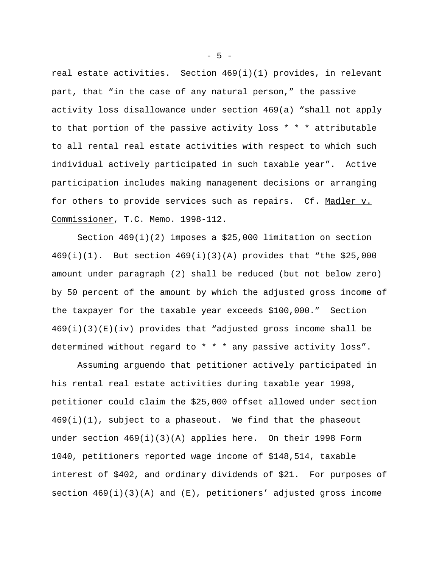real estate activities. Section  $469(i)(1)$  provides, in relevant part, that "in the case of any natural person," the passive activity loss disallowance under section 469(a) "shall not apply to that portion of the passive activity loss \* \* \* attributable to all rental real estate activities with respect to which such individual actively participated in such taxable year". Active participation includes making management decisions or arranging for others to provide services such as repairs. Cf. Madler v. Commissioner, T.C. Memo. 1998-112.

Section  $469(i)(2)$  imposes a \$25,000 limitation on section 469(i)(1). But section 469(i)(3)(A) provides that "the \$25,000 amount under paragraph (2) shall be reduced (but not below zero) by 50 percent of the amount by which the adjusted gross income of the taxpayer for the taxable year exceeds \$100,000." Section  $469(i)(3)(E)(iv)$  provides that "adjusted gross income shall be determined without regard to \* \* \* any passive activity loss".

Assuming arguendo that petitioner actively participated in his rental real estate activities during taxable year 1998, petitioner could claim the \$25,000 offset allowed under section  $469(i)(1)$ , subject to a phaseout. We find that the phaseout under section  $469(i)(3)(A)$  applies here. On their 1998 Form 1040, petitioners reported wage income of \$148,514, taxable interest of \$402, and ordinary dividends of \$21. For purposes of section  $469(i)(3)(A)$  and  $(E)$ , petitioners' adjusted gross income

 $- 5 -$